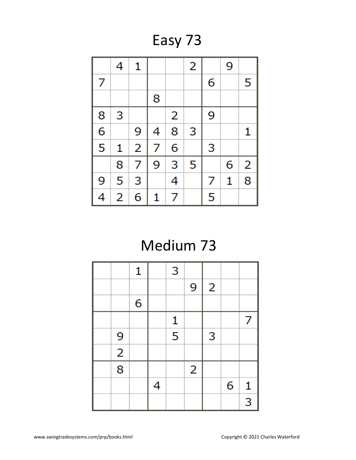Easy 73



### Medium 73

|                | 1 |   | 3                       |                |                |   |                |
|----------------|---|---|-------------------------|----------------|----------------|---|----------------|
|                |   |   |                         | 9              | $\overline{2}$ |   |                |
|                | 6 |   |                         |                |                |   |                |
|                |   |   | $\mathbf{1}$            |                |                |   | 7              |
| 9              |   |   | $\overline{\mathbf{5}}$ |                | 3              |   |                |
| $\overline{2}$ |   |   |                         |                |                |   |                |
| $\overline{8}$ |   |   |                         | $\overline{2}$ |                |   |                |
|                |   | 4 |                         |                |                | 6 | $\mathbf{1}$   |
|                |   |   |                         |                |                |   | $\overline{3}$ |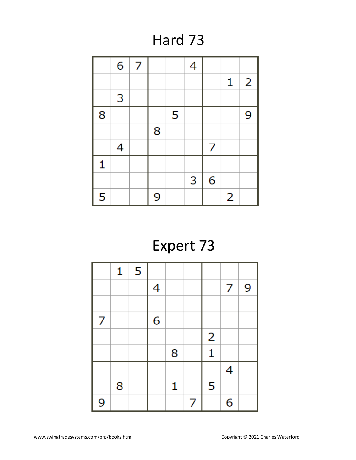#### Hard 73

|   | 6 | 7 |   |   | 4 |   |   |                |
|---|---|---|---|---|---|---|---|----------------|
|   |   |   |   |   |   |   | 1 | $\overline{2}$ |
|   | 3 |   |   |   |   |   |   |                |
| 8 |   |   |   | 5 |   |   |   | 9              |
|   |   |   | 8 |   |   |   |   |                |
|   | 4 |   |   |   |   | 7 |   |                |
| 1 |   |   |   |   |   |   |   |                |
|   |   |   |   |   | 3 | 6 |   |                |
| 5 |   |   | 9 |   |   |   | 2 |                |

# Expert 73

|   | 1 | 5 |   |   |   |                |   |   |
|---|---|---|---|---|---|----------------|---|---|
|   |   |   | 4 |   |   |                | 7 | 9 |
|   |   |   |   |   |   |                |   |   |
| 7 |   |   | 6 |   |   |                |   |   |
|   |   |   |   |   |   | $\overline{2}$ |   |   |
|   |   |   |   | 8 |   | 1              |   |   |
|   |   |   |   |   |   |                | 4 |   |
|   | 8 |   |   | 1 |   | 5              |   |   |
| 9 |   |   |   |   | 7 |                | 6 |   |